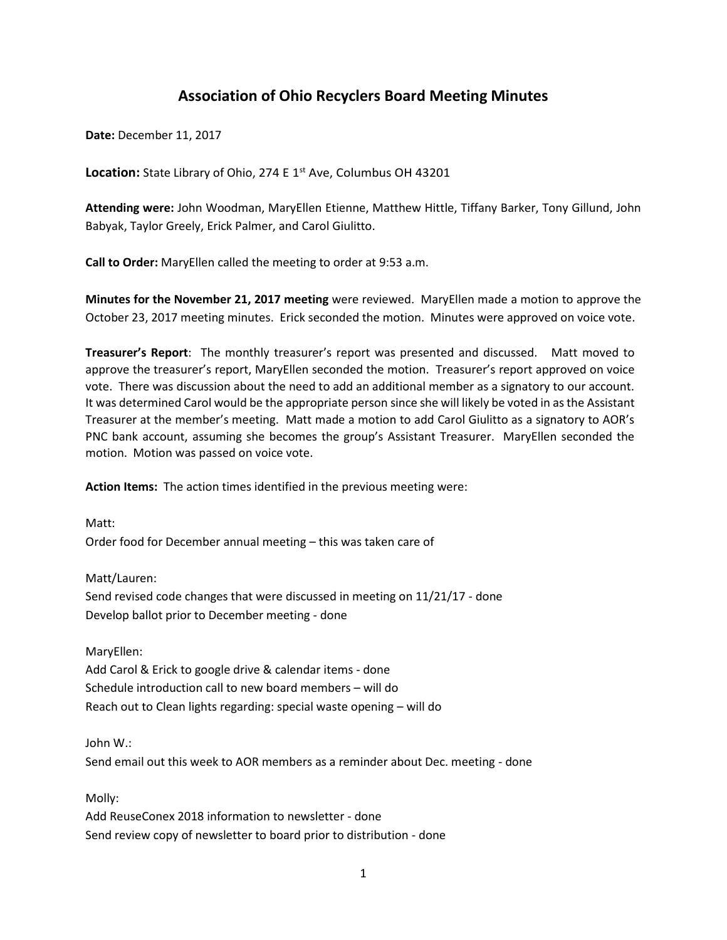# **Association of Ohio Recyclers Board Meeting Minutes**

**Date:** December 11, 2017

Location: State Library of Ohio, 274 E 1<sup>st</sup> Ave, Columbus OH 43201

**Attending were:** John Woodman, MaryEllen Etienne, Matthew Hittle, Tiffany Barker, Tony Gillund, John Babyak, Taylor Greely, Erick Palmer, and Carol Giulitto.

**Call to Order:** MaryEllen called the meeting to order at 9:53 a.m.

**Minutes for the November 21, 2017 meeting** were reviewed. MaryEllen made a motion to approve the October 23, 2017 meeting minutes. Erick seconded the motion. Minutes were approved on voice vote.

**Treasurer's Report**: The monthly treasurer's report was presented and discussed. Matt moved to approve the treasurer's report, MaryEllen seconded the motion. Treasurer's report approved on voice vote. There was discussion about the need to add an additional member as a signatory to our account. It was determined Carol would be the appropriate person since she will likely be voted in as the Assistant Treasurer at the member's meeting. Matt made a motion to add Carol Giulitto as a signatory to AOR's PNC bank account, assuming she becomes the group's Assistant Treasurer. MaryEllen seconded the motion. Motion was passed on voice vote.

**Action Items:** The action times identified in the previous meeting were:

Matt: Order food for December annual meeting – this was taken care of

Matt/Lauren: Send revised code changes that were discussed in meeting on 11/21/17 - done Develop ballot prior to December meeting - done

MaryEllen: Add Carol & Erick to google drive & calendar items - done Schedule introduction call to new board members – will do Reach out to Clean lights regarding: special waste opening – will do

John W.: Send email out this week to AOR members as a reminder about Dec. meeting - done

Molly:

Add ReuseConex 2018 information to newsletter - done Send review copy of newsletter to board prior to distribution - done